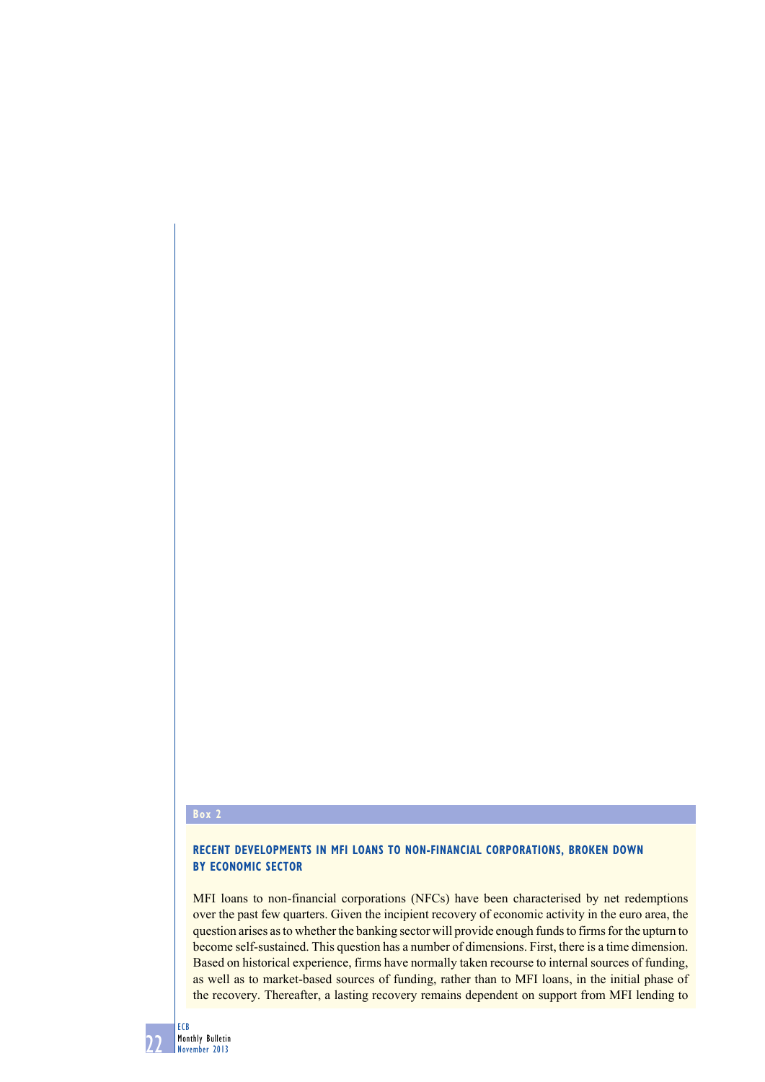## **Box 2**

## **Recent developments in MFI loans to non-financial corporations, broken down by economic sector**

MFI loans to non-financial corporations (NFCs) have been characterised by net redemptions over the past few quarters. Given the incipient recovery of economic activity in the euro area, the question arises as to whether the banking sector will provide enough funds to firms for the upturn to become self-sustained. This question has a number of dimensions. First, there is a time dimension. Based on historical experience, firms have normally taken recourse to internal sources of funding, as well as to market-based sources of funding, rather than to MFI loans, in the initial phase of the recovery. Thereafter, a lasting recovery remains dependent on support from MFI lending to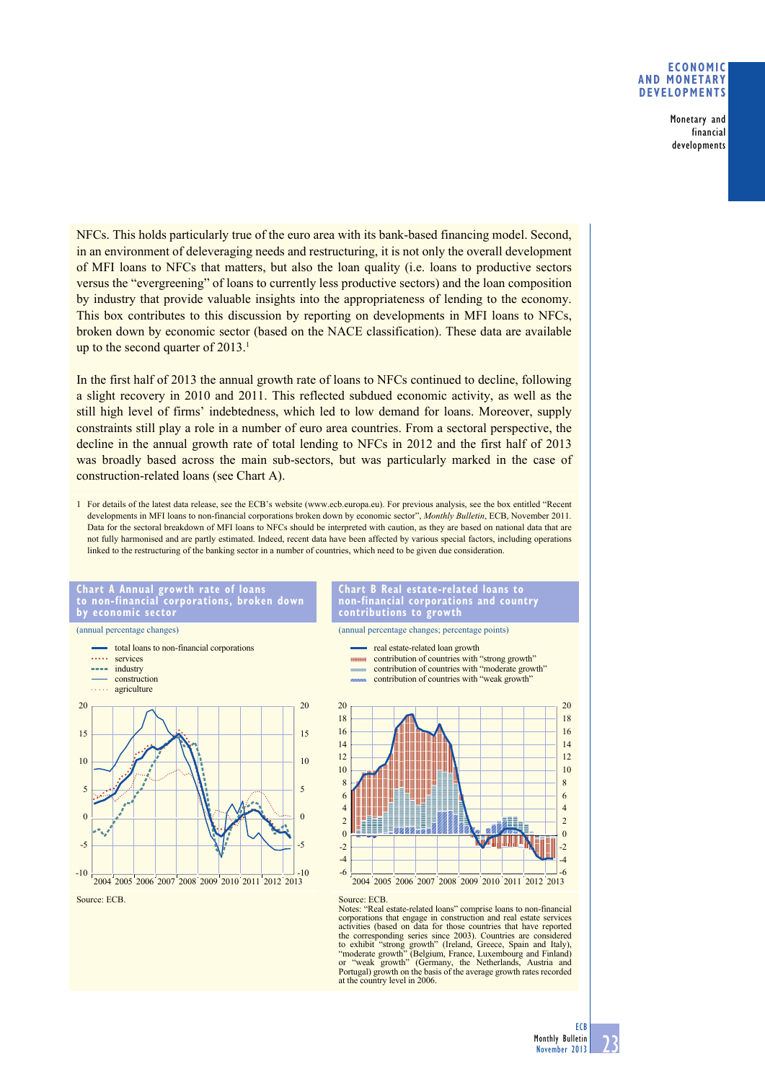## **eConomiC and monetary develoPments**

Monetary and financial developments

NFCs. This holds particularly true of the euro area with its bank-based financing model. Second, in an environment of deleveraging needs and restructuring, it is not only the overall development of MFI loans to NFCs that matters, but also the loan quality (i.e. loans to productive sectors versus the "evergreening" of loans to currently less productive sectors) and the loan composition by industry that provide valuable insights into the appropriateness of lending to the economy. This box contributes to this discussion by reporting on developments in MFI loans to NFCs, broken down by economic sector (based on the NACE classification). These data are available up to the second quarter of  $2013$ .<sup>1</sup>

In the first half of 2013 the annual growth rate of loans to NFCs continued to decline, following a slight recovery in 2010 and 2011. This reflected subdued economic activity, as well as the still high level of firms' indebtedness, which led to low demand for loans. Moreover, supply constraints still play a role in a number of euro area countries. From a sectoral perspective, the decline in the annual growth rate of total lending to NFCs in 2012 and the first half of 2013 was broadly based across the main sub-sectors, but was particularly marked in the case of construction-related loans (see Chart A).

1 For details of the latest data release, see the ECB's website (www.ecb.europa.eu). For previous analysis, see the box entitled "Recent developments in MFI loans to non-financial corporations broken down by economic sector", *Monthly Bulletin*, ECB, November 2011. Data for the sectoral breakdown of MFI loans to NFCs should be interpreted with caution, as they are based on national data that are not fully harmonised and are partly estimated. Indeed, recent data have been affected by various special factors, including operations linked to the restructuring of the banking sector in a number of countries, which need to be given due consideration.



**Chart a annual growth rate of loans to non-financial corporations, broken down** 



**Chart B Real estate-related loans to non-financial corporations and country contributions to growth**

> contribution of countries with "strong growth" contribution of countries with "moderate growth"





Source: ECB.<br>Notes: "Real estate-related loans" comprise loans to non-financial corporations that engage in construction and real estate services activities (based on data for those countries that have reported the corresponding series since 2003). Countries are considered to exhibit "strong growth" (Ireland, Greece, Spain and Italy),<br>"moderate growth" (Belgium, France, Luxembourg and Finland)<br>or "weak growth" (Germany, the Netherlands, Austria and Portugal) growth on the basis of the average growth rates recorded at the country level in 2006.